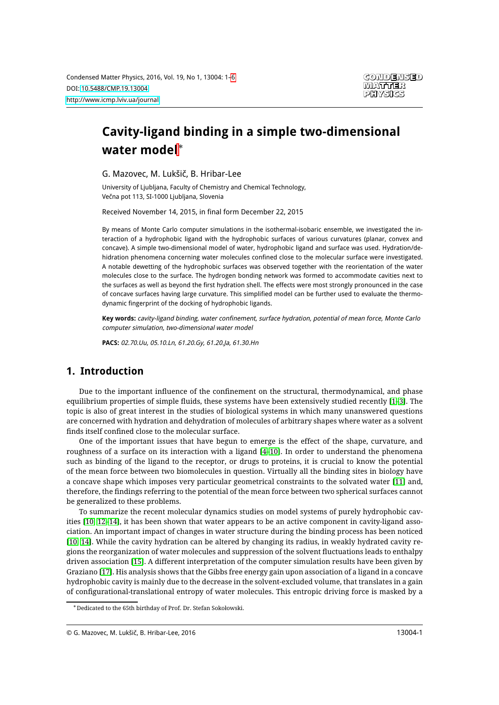# **Cavity-ligand binding in a simple two-dimensional water model**<sup>∗</sup>

G. Mazovec, M. Lukšič, B. Hribar-Lee

University of Ljubljana, Faculty of Chemistry and Chemical Technology, Večna pot 113, SI-1000 Ljubljana, Slovenia

Received November 14, 2015, in final form December 22, 2015

By means of Monte Carlo computer simulations in the isothermal-isobaric ensemble, we investigated the interaction of a hydrophobic ligand with the hydrophobic surfaces of various curvatures (planar, convex and concave). A simple two-dimensional model of water, hydrophobic ligand and surface was used. Hydration/dehidration phenomena concerning water molecules confined close to the molecular surface were investigated. A notable dewetting of the hydrophobic surfaces was observed together with the reorientation of the water molecules close to the surface. The hydrogen bonding network was formed to accommodate cavities next to the surfaces as well as beyond the first hydration shell. The effects were most strongly pronounced in the case of concave surfaces having large curvature. This simplified model can be further used to evaluate the thermodynamic fingerprint of the docking of hydrophobic ligands.

**Key words:** cavity-ligand binding, water confinement, surface hydration, potential of mean force, Monte Carlo computer simulation, two-dimensional water model

**PACS:** 02.70.Uu, 05.10.Ln, 61.20.Gy, 61.20.Ja, 61.30.Hn

# **1. Introduction**

Due to the important influence of the confinement on the structural, thermodynamical, and phase equilibrium properties of simple fluids, these systems have been extensively studied recently [\[1](#page-5-1)[–3\]](#page-5-2). The topic is also of great interest in the studies of biological systems in which many unanswered questions are concerned with hydration and dehydration of molecules of arbitrary shapes where water as a solvent finds itself confined close to the molecular surface.

One of the important issues that have begun to emerge is the effect of the shape, curvature, and roughness of a surface on its interaction with a ligand [\[4–](#page-5-3)[10\]](#page-5-4). In order to understand the phenomena such as binding of the ligand to the receptor, or drugs to proteins, it is crucial to know the potential of the mean force between two biomolecules in question. Virtually all the binding sites in biology have a concave shape which imposes very particular geometrical constraints to the solvated water [\[11\]](#page-5-5) and, therefore, the findings referring to the potential of the mean force between two spherical surfaces cannot be generalized to these problems.

To summarize the recent molecular dynamics studies on model systems of purely hydrophobic cavities [\[10,](#page-5-4) [12](#page-5-6)[–14\]](#page-5-7), it has been shown that water appears to be an active component in cavity-ligand association. An important impact of changes in water structure during the binding process has been noticed [\[10,](#page-5-4) [14\]](#page-5-7). While the cavity hydration can be altered by changing its radius, in weakly hydrated cavity regions the reorganization of water molecules and suppression of the solvent fluctuations leads to enthalpy driven association [\[15\]](#page-5-8). A different interpretation of the computer simulation results have been given by Graziano [\[17\]](#page-5-9). His analysis shows that the Gibbs free energy gain upon association of a ligand in a concave hydrophobic cavity is mainly due to the decrease in the solvent-excluded volume, that translates in a gain of configurational-translational entropy of water molecules. This entropic driving force is masked by a

<sup>∗</sup>Dedicated to the 65th birthday of Prof. Dr. Stefan Sokołowski.

<sup>©</sup> G. Mazovec, M. Lukšič, B. Hribar-Lee, 2016 13004-1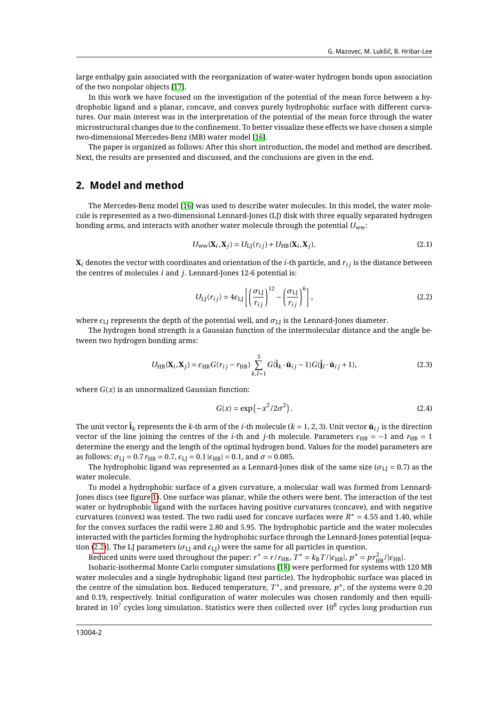large enthalpy gain associated with the reorganization of water-water hydrogen bonds upon association of the two nonpolar objects [\[17\]](#page-5-9).

In this work we have focused on the investigation of the potential of the mean force between a hydrophobic ligand and a planar, concave, and convex purely hydrophobic surface with different curvatures. Our main interest was in the interpretation of the potential of the mean force through the water microstructural changes due to the confinement. To better visualize these effects we have chosen a simple two-dimensional Mercedes-Benz (MB) water model [\[16\]](#page-5-10).

The paper is organized as follows: After this short introduction, the model and method are described. Next, the results are presented and discussed, and the conclusions are given in the end.

#### **2. Model and method**

The Mercedes-Benz model [\[16\]](#page-5-10) was used to describe water molecules. In this model, the water molecule is represented as a two-dimensional Lennard-Jones (LJ) disk with three equally separated hydrogen bonding arms, and interacts with another water molecule through the potential *U*ww:

$$
U_{WW}(\mathbf{X}_i, \mathbf{X}_j) = U_{LJ}(r_{ij}) + U_{HB}(\mathbf{X}_i, \mathbf{X}_j).
$$
\n(2.1)

 $\mathbf{X}_i$  denotes the vector with coordinates and orientation of the *i*-th particle, and  $r_i$  is the distance between the centres of molecules *i* and *j*. Lennard-Jones 12-6 potential is:

<span id="page-1-0"></span>
$$
U_{\text{LJ}}(r_{ij}) = 4\epsilon_{\text{LJ}} \left[ \left( \frac{\sigma_{\text{LJ}}}{r_{ij}} \right)^{12} - \left( \frac{\sigma_{\text{LJ}}}{r_{ij}} \right)^{6} \right],\tag{2.2}
$$

where  $\epsilon_{\text{LI}}$  represents the depth of the potential well, and  $\sigma_{\text{LI}}$  is the Lennard-Jones diameter.

The hydrogen bond strength is a Gaussian function of the intermolecular distance and the angle between two hydrogen bonding arms:

$$
U_{\rm HB}(\mathbf{X}_i, \mathbf{X}_j) = \epsilon_{\rm HB} G(r_{ij} - r_{\rm HB}) \sum_{k,l=1}^3 G(\hat{\mathbf{i}}_k \cdot \hat{\mathbf{u}}_{ij} - 1) G(\hat{\mathbf{j}}_l \cdot \hat{\mathbf{u}}_{ij} + 1),
$$
(2.3)

where  $G(x)$  is an unnormalized Gaussian function:

$$
G(x) = \exp\left(-x^2/2\sigma^2\right). \tag{2.4}
$$

The unit vector  $\hat{\mathbf{i}}_k$  represents the *k*-th arm of the *i*-th molecule ( $k = 1, 2, 3$ ). Unit vector  $\hat{\mathbf{u}}_i$  is the direction vector of the line joining the centres of the *i*-th and *j*-th molecule. Parameters  $\epsilon_{HB} = -1$  and  $r_{HB} = 1$ determine the energy and the length of the optimal hydrogen bond. Values for the model parameters are as follows:  $\sigma_{\text{LI}} = 0.7 r_{\text{HB}} = 0.7$ ,  $\epsilon_{\text{LI}} = 0.1 | \epsilon_{\text{HB}} | = 0.1$ , and  $\sigma = 0.085$ .

The hydrophobic ligand was represented as a Lennard-Jones disk of the same size ( $\sigma_{\text{LI}} = 0.7$ ) as the water molecule.

To model a hydrophobic surface of a given curvature, a molecular wall was formed from Lennard-Jones discs (see figure [1\)](#page-2-0). One surface was planar, while the others were bent. The interaction of the test water or hydrophobic ligand with the surfaces having positive curvatures (concave), and with negative curvatures (convex) was tested. The two radii used for concave surfaces were  $R^* = 4.55$  and 1.40, while for the convex surfaces the radii were 2.80 and 5.95. The hydrophobic particle and the water molecules interacted with the particles forming the hydrophobic surface through the Lennard-Jones potential [equa-tion [\(2.2\)](#page-1-0)]. The LJ parameters ( $\sigma$ <sub>LJ</sub> and  $\epsilon$ <sub>LJ</sub>) were the same for all particles in question.

Reduced units were used throughout the paper:  $r^* = r/r_{\text{HB}}$ ,  $\overline{T^*} = k_B T/|\epsilon_{\text{HB}}|$ ,  $p^* = p r_{\text{HB}}^2/|\epsilon_{\text{HB}}|$ .

Isobaric-isothermal Monte Carlo computer simulations [\[18\]](#page-5-11) were performed for systems with 120 MB water molecules and a single hydrophobic ligand (test particle). The hydrophobic surface was placed in the centre of the simulation box. Reduced temperature,  $T^*$ , and pressure,  $p^*$ , of the systems were 0.20 and 0.19, respectively. Initial configuration of water molecules was chosen randomly and then equilibrated in  $10^7$  cycles long simulation. Statistics were then collected over  $10^8$  cycles long production run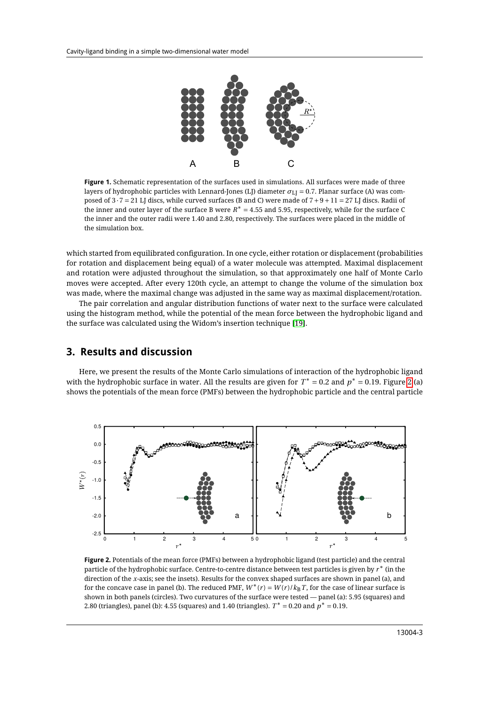

<span id="page-2-0"></span>**Figure 1.** Schematic representation of the surfaces used in simulations. All surfaces were made of three layers of hydrophobic particles with Lennard-Jones (LJ) diameter *σ*LJ = 0.7. Planar surface (A) was composed of  $3 \cdot 7 = 21$  LJ discs, while curved surfaces (B and C) were made of  $7 + 9 + 11 = 27$  LJ discs. Radii of the inner and outer layer of the surface B were *R* <sup>∗</sup> <sup>=</sup> 4.55 and 5.95, respectively, while for the surface C the inner and the outer radii were 1.40 and 2.80, respectively. The surfaces were placed in the middle of the simulation box.

which started from equilibrated configuration. In one cycle, either rotation or displacement (probabilities for rotation and displacement being equal) of a water molecule was attempted. Maximal displacement and rotation were adjusted throughout the simulation, so that approximately one half of Monte Carlo moves were accepted. After every 120th cycle, an attempt to change the volume of the simulation box was made, where the maximal change was adjusted in the same way as maximal displacement/rotation.

The pair correlation and angular distribution functions of water next to the surface were calculated using the histogram method, while the potential of the mean force between the hydrophobic ligand and the surface was calculated using the Widom's insertion technique [\[19\]](#page-5-12).

### **3. Results and discussion**

Here, we present the results of the Monte Carlo simulations of interaction of the hydrophobic ligand with the hydrophobic surface in water. All the results are given for  $T^*=0.2$  and  $p^*=0.19$ . Figure [2](#page-2-1) (a) shows the potentials of the mean force (PMFs) between the hydrophobic particle and the central particle



<span id="page-2-1"></span>**Figure 2.** Potentials of the mean force (PMFs) between a hydrophobic ligand (test particle) and the central particle of the hydrophobic surface. Centre-to-centre distance between test particles is given by *r* <sup>∗</sup> (in the direction of the *x*-axis; see the insets). Results for the convex shaped surfaces are shown in panel (a), and for the concave case in panel (b). The reduced PMF,  $W^*(r) = W(r)/k_B T$ , for the case of linear surface is shown in both panels (circles). Two curvatures of the surface were tested — panel (a): 5.95 (squares) and 2.80 (triangles), panel (b): 4.55 (squares) and 1.40 (triangles).  $T^* = 0.20$  and  $p^* = 0.19$ .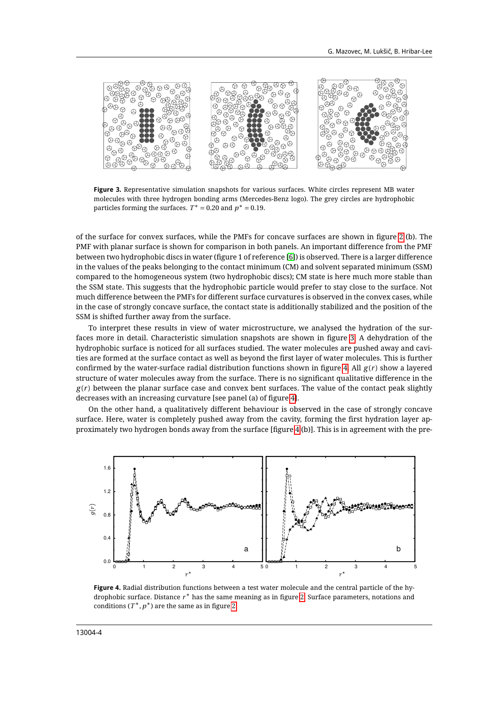

**Figure 3.** Representative simulation snapshots for various surfaces. White circles represent MB water molecules with three hydrogen bonding arms (Mercedes-Benz logo). The grey circles are hydrophobic particles forming the surfaces.  $T^* = 0.20$  and  $p^* = 0.19$ .

<span id="page-3-0"></span>of the surface for convex surfaces, while the PMFs for concave surfaces are shown in figure [2](#page-2-1) (b). The PMF with planar surface is shown for comparison in both panels. An important difference from the PMF between two hydrophobic discs in water (figure 1 of reference [\[6\]](#page-5-13)) is observed. There is a larger difference in the values of the peaks belonging to the contact minimum (CM) and solvent separated minimum (SSM) compared to the homogeneous system (two hydrophobic discs); CM state is here much more stable than the SSM state. This suggests that the hydrophobic particle would prefer to stay close to the surface. Not much difference between the PMFs for different surface curvatures is observed in the convex cases, while in the case of strongly concave surface, the contact state is additionally stabilized and the position of the SSM is shifted further away from the surface.

To interpret these results in view of water microstructure, we analysed the hydration of the surfaces more in detail. Characteristic simulation snapshots are shown in figure [3.](#page-3-0) A dehydration of the hydrophobic surface is noticed for all surfaces studied. The water molecules are pushed away and cavities are formed at the surface contact as well as beyond the first layer of water molecules. This is further confirmed by the water-surface radial distribution functions shown in figure [4.](#page-3-1) All *g* (*r* ) show a layered structure of water molecules away from the surface. There is no significant qualitative difference in the  $g(r)$  between the planar surface case and convex bent surfaces. The value of the contact peak slightly decreases with an increasing curvature [see panel (a) of figure [4\]](#page-3-1).

On the other hand, a qualitatively different behaviour is observed in the case of strongly concave surface. Here, water is completely pushed away from the cavity, forming the first hydration layer approximately two hydrogen bonds away from the surface [figure [4](#page-3-1) (b)]. This is in agreement with the pre-



<span id="page-3-1"></span>**Figure 4.** Radial distribution functions between a test water molecule and the central particle of the hydrophobic surface. Distance *r* <sup>∗</sup> has the same meaning as in figure [2.](#page-2-1) Surface parameters, notations and conditions  $(T^*, p^*)$  are the same as in figure [2.](#page-2-1)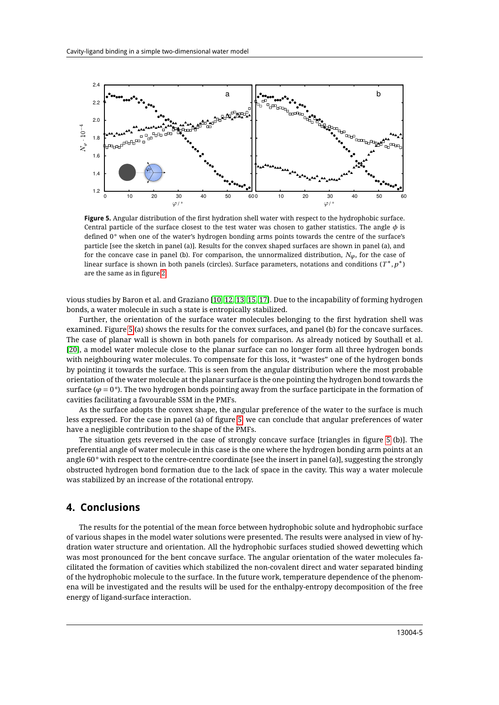

<span id="page-4-0"></span>**Figure 5.** Angular distribution of the first hydration shell water with respect to the hydrophobic surface. Central particle of the surface closest to the test water was chosen to gather statistics. The angle *φ* is defined 0° when one of the water's hydrogen bonding arms points towards the centre of the surface's particle [see the sketch in panel (a)]. Results for the convex shaped surfaces are shown in panel (a), and for the concave case in panel (b). For comparison, the unnormalized distribution,  $N_{\phi}$ , for the case of linear surface is shown in both panels (circles). Surface parameters, notations and conditions (*T* <sup>∗</sup>,*<sup>p</sup>* ∗) are the same as in figure [2.](#page-2-1)

vious studies by Baron et al. and Graziano [\[10,](#page-5-4) [12,](#page-5-6) [13,](#page-5-14) [15,](#page-5-8) [17\]](#page-5-9). Due to the incapability of forming hydrogen bonds, a water molecule in such a state is entropically stabilized.

Further, the orientation of the surface water molecules belonging to the first hydration shell was examined. Figure [5](#page-4-0) (a) shows the results for the convex surfaces, and panel (b) for the concave surfaces. The case of planar wall is shown in both panels for comparison. As already noticed by Southall et al. [\[20\]](#page-5-15), a model water molecule close to the planar surface can no longer form all three hydrogen bonds with neighbouring water molecules. To compensate for this loss, it "wastes" one of the hydrogen bonds by pointing it towards the surface. This is seen from the angular distribution where the most probable orientation of the water molecule at the planar surface is the one pointing the hydrogen bond towards the surface ( $\varphi$  = 0°). The two hydrogen bonds pointing away from the surface participate in the formation of cavities facilitating a favourable SSM in the PMFs.

As the surface adopts the convex shape, the angular preference of the water to the surface is much less expressed. For the case in panel (a) of figure [5,](#page-4-0) we can conclude that angular preferences of water have a negligible contribution to the shape of the PMFs.

The situation gets reversed in the case of strongly concave surface [triangles in figure [5](#page-4-0) (b)]. The preferential angle of water molecule in this case is the one where the hydrogen bonding arm points at an angle 60° with respect to the centre-centre coordinate [see the insert in panel (a)], suggesting the strongly obstructed hydrogen bond formation due to the lack of space in the cavity. This way a water molecule was stabilized by an increase of the rotational entropy.

#### **4. Conclusions**

The results for the potential of the mean force between hydrophobic solute and hydrophobic surface of various shapes in the model water solutions were presented. The results were analysed in view of hydration water structure and orientation. All the hydrophobic surfaces studied showed dewetting which was most pronounced for the bent concave surface. The angular orientation of the water molecules facilitated the formation of cavities which stabilized the non-covalent direct and water separated binding of the hydrophobic molecule to the surface. In the future work, temperature dependence of the phenomena will be investigated and the results will be used for the enthalpy-entropy decomposition of the free energy of ligand-surface interaction.